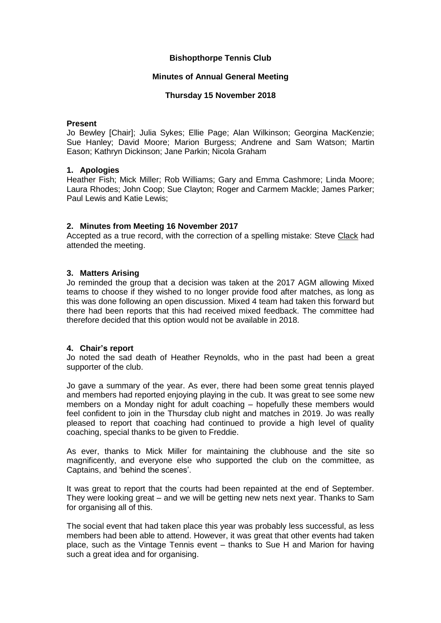## **Bishopthorpe Tennis Club**

## **Minutes of Annual General Meeting**

## **Thursday 15 November 2018**

#### **Present**

Jo Bewley [Chair]; Julia Sykes; Ellie Page; Alan Wilkinson; Georgina MacKenzie; Sue Hanley; David Moore; Marion Burgess; Andrene and Sam Watson; Martin Eason; Kathryn Dickinson; Jane Parkin; Nicola Graham

#### **1. Apologies**

Heather Fish; Mick Miller; Rob Williams; Gary and Emma Cashmore; Linda Moore; Laura Rhodes; John Coop; Sue Clayton; Roger and Carmem Mackle; James Parker; Paul Lewis and Katie Lewis;

## **2. Minutes from Meeting 16 November 2017**

Accepted as a true record, with the correction of a spelling mistake: Steve Clack had attended the meeting.

## **3. Matters Arising**

Jo reminded the group that a decision was taken at the 2017 AGM allowing Mixed teams to choose if they wished to no longer provide food after matches, as long as this was done following an open discussion. Mixed 4 team had taken this forward but there had been reports that this had received mixed feedback. The committee had therefore decided that this option would not be available in 2018.

#### **4. Chair's report**

Jo noted the sad death of Heather Reynolds, who in the past had been a great supporter of the club.

Jo gave a summary of the year. As ever, there had been some great tennis played and members had reported enjoying playing in the cub. It was great to see some new members on a Monday night for adult coaching – hopefully these members would feel confident to join in the Thursday club night and matches in 2019. Jo was really pleased to report that coaching had continued to provide a high level of quality coaching, special thanks to be given to Freddie.

As ever, thanks to Mick Miller for maintaining the clubhouse and the site so magnificently, and everyone else who supported the club on the committee, as Captains, and 'behind the scenes'.

It was great to report that the courts had been repainted at the end of September. They were looking great – and we will be getting new nets next year. Thanks to Sam for organising all of this.

The social event that had taken place this year was probably less successful, as less members had been able to attend. However, it was great that other events had taken place, such as the Vintage Tennis event – thanks to Sue H and Marion for having such a great idea and for organising.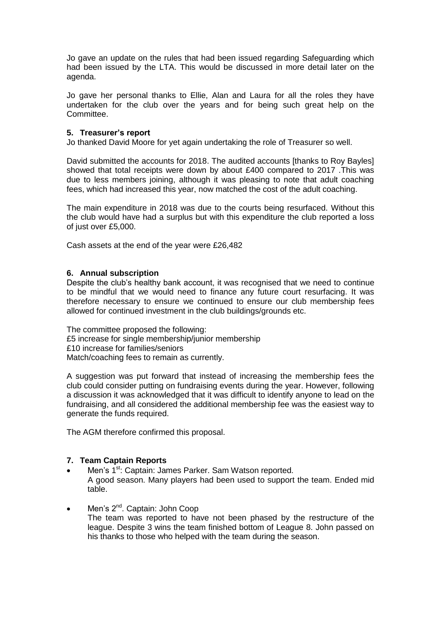Jo gave an update on the rules that had been issued regarding Safeguarding which had been issued by the LTA. This would be discussed in more detail later on the agenda.

Jo gave her personal thanks to Ellie, Alan and Laura for all the roles they have undertaken for the club over the years and for being such great help on the Committee.

## **5. Treasurer's report**

Jo thanked David Moore for yet again undertaking the role of Treasurer so well.

David submitted the accounts for 2018. The audited accounts [thanks to Roy Bayles] showed that total receipts were down by about £400 compared to 2017 .This was due to less members joining, although it was pleasing to note that adult coaching fees, which had increased this year, now matched the cost of the adult coaching.

The main expenditure in 2018 was due to the courts being resurfaced. Without this the club would have had a surplus but with this expenditure the club reported a loss of just over £5,000.

Cash assets at the end of the year were £26,482

## **6. Annual subscription**

Despite the club's healthy bank account, it was recognised that we need to continue to be mindful that we would need to finance any future court resurfacing. It was therefore necessary to ensure we continued to ensure our club membership fees allowed for continued investment in the club buildings/grounds etc.

The committee proposed the following: £5 increase for single membership/junior membership £10 increase for families/seniors Match/coaching fees to remain as currently.

A suggestion was put forward that instead of increasing the membership fees the club could consider putting on fundraising events during the year. However, following a discussion it was acknowledged that it was difficult to identify anyone to lead on the fundraising, and all considered the additional membership fee was the easiest way to generate the funds required.

The AGM therefore confirmed this proposal.

#### **7. Team Captain Reports**

- Men's 1<sup>st</sup>: Captain: James Parker. Sam Watson reported. A good season. Many players had been used to support the team. Ended mid table.
- Men's 2<sup>nd</sup>. Captain: John Coop The team was reported to have not been phased by the restructure of the league. Despite 3 wins the team finished bottom of League 8. John passed on his thanks to those who helped with the team during the season.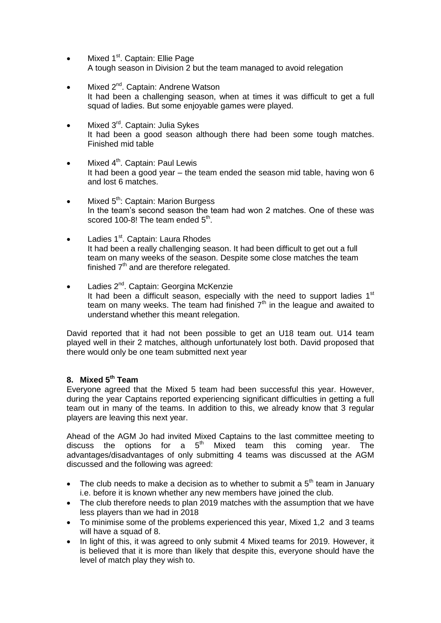- Mixed 1<sup>st</sup>. Captain: Ellie Page A tough season in Division 2 but the team managed to avoid relegation
- Mixed 2<sup>nd</sup>. Captain: Andrene Watson It had been a challenging season, when at times it was difficult to get a full squad of ladies. But some enjoyable games were played.
- Mixed 3<sup>rd</sup>. Captain: Julia Sykes It had been a good season although there had been some tough matches. Finished mid table
- $\bullet$  Mixed  $4<sup>th</sup>$ . Captain: Paul Lewis It had been a good year – the team ended the season mid table, having won 6 and lost 6 matches.
- $\bullet$  Mixed  $5^{\text{th}}$ : Captain: Marion Burgess In the team's second season the team had won 2 matches. One of these was scored 100-8! The team ended 5<sup>th</sup>.
- Ladies 1<sup>st</sup>. Captain: Laura Rhodes It had been a really challenging season. It had been difficult to get out a full team on many weeks of the season. Despite some close matches the team finished  $7<sup>th</sup>$  and are therefore relegated.
- Ladies 2<sup>nd</sup>. Captain: Georgina McKenzie It had been a difficult season, especially with the need to support ladies  $1<sup>st</sup>$ team on many weeks. The team had finished  $7<sup>th</sup>$  in the league and awaited to understand whether this meant relegation.

David reported that it had not been possible to get an U18 team out. U14 team played well in their 2 matches, although unfortunately lost both. David proposed that there would only be one team submitted next year

# **8. Mixed 5th Team**

Everyone agreed that the Mixed 5 team had been successful this year. However, during the year Captains reported experiencing significant difficulties in getting a full team out in many of the teams. In addition to this, we already know that 3 regular players are leaving this next year.

Ahead of the AGM Jo had invited Mixed Captains to the last committee meeting to discuss the options for a  $5<sup>th</sup>$  Mixed team this coming year. The advantages/disadvantages of only submitting 4 teams was discussed at the AGM discussed and the following was agreed:

- The club needs to make a decision as to whether to submit a  $5<sup>th</sup>$  team in January i.e. before it is known whether any new members have joined the club.
- The club therefore needs to plan 2019 matches with the assumption that we have less players than we had in 2018
- To minimise some of the problems experienced this year, Mixed 1,2 and 3 teams will have a squad of 8.
- In light of this, it was agreed to only submit 4 Mixed teams for 2019. However, it is believed that it is more than likely that despite this, everyone should have the level of match play they wish to.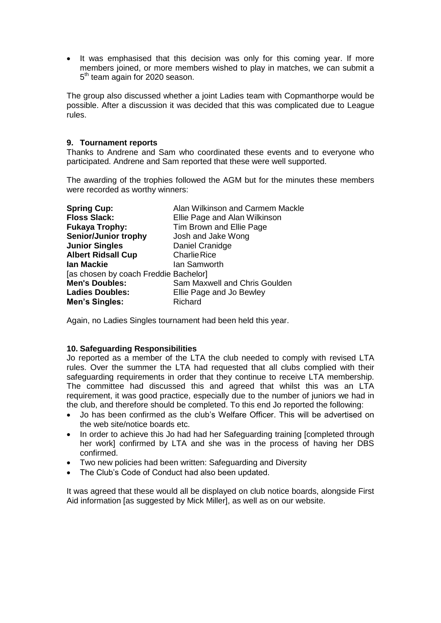• It was emphasised that this decision was only for this coming year. If more members joined, or more members wished to play in matches, we can submit a 5<sup>th</sup> team again for 2020 season.

The group also discussed whether a joint Ladies team with Copmanthorpe would be possible. After a discussion it was decided that this was complicated due to League rules.

## **9. Tournament reports**

Thanks to Andrene and Sam who coordinated these events and to everyone who participated. Andrene and Sam reported that these were well supported.

The awarding of the trophies followed the AGM but for the minutes these members were recorded as worthy winners:

| <b>Spring Cup:</b>                    | Alan Wilkinson and Carmem Mackle |
|---------------------------------------|----------------------------------|
| <b>Floss Slack:</b>                   | Ellie Page and Alan Wilkinson    |
| <b>Fukaya Trophy:</b>                 | Tim Brown and Ellie Page         |
| <b>Senior/Junior trophy</b>           | Josh and Jake Wong               |
| <b>Junior Singles</b>                 | Daniel Cranidge                  |
| <b>Albert Ridsall Cup</b>             | <b>Charlie Rice</b>              |
| <b>lan Mackie</b>                     | Ian Samworth                     |
| [as chosen by coach Freddie Bachelor] |                                  |
| <b>Men's Doubles:</b>                 | Sam Maxwell and Chris Goulden    |
| <b>Ladies Doubles:</b>                | Ellie Page and Jo Bewley         |
| <b>Men's Singles:</b>                 | Richard                          |

Again, no Ladies Singles tournament had been held this year.

## **10. Safeguarding Responsibilities**

Jo reported as a member of the LTA the club needed to comply with revised LTA rules. Over the summer the LTA had requested that all clubs complied with their safeguarding requirements in order that they continue to receive LTA membership. The committee had discussed this and agreed that whilst this was an LTA requirement, it was good practice, especially due to the number of juniors we had in the club, and therefore should be completed. To this end Jo reported the following:

- Jo has been confirmed as the club's Welfare Officer. This will be advertised on the web site/notice boards etc.
- In order to achieve this Jo had had her Safeguarding training [completed through her work] confirmed by LTA and she was in the process of having her DBS confirmed.
- Two new policies had been written: Safeguarding and Diversity
- The Club's Code of Conduct had also been updated.

It was agreed that these would all be displayed on club notice boards, alongside First Aid information [as suggested by Mick Miller], as well as on our website.